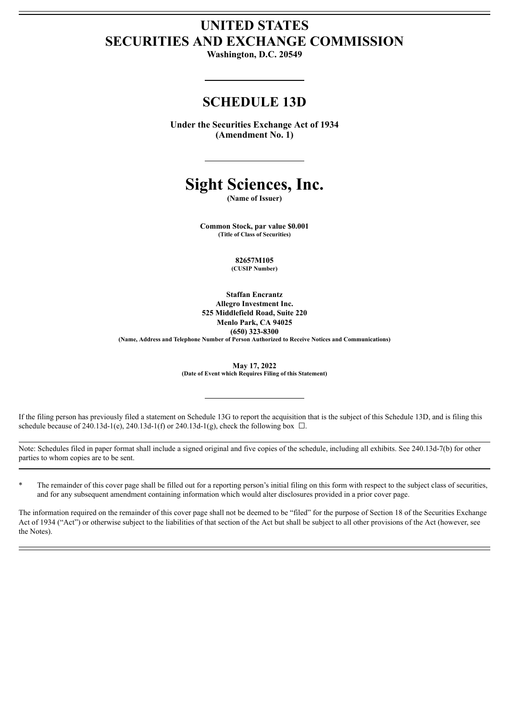# **UNITED STATES SECURITIES AND EXCHANGE COMMISSION**

**Washington, D.C. 20549**

# **SCHEDULE 13D**

**Under the Securities Exchange Act of 1934 (Amendment No. 1)**

# **Sight Sciences, Inc.**

**(Name of Issuer)**

**Common Stock, par value \$0.001 (Title of Class of Securities)**

> **82657M105 (CUSIP Number)**

**Staffan Encrantz Allegro Investment Inc. 525 Middlefield Road, Suite 220 Menlo Park, CA 94025 (650) 323-8300 (Name, Address and Telephone Number of Person Authorized to Receive Notices and Communications)**

**May 17, 2022**

**(Date of Event which Requires Filing of this Statement)**

If the filing person has previously filed a statement on Schedule 13G to report the acquisition that is the subject of this Schedule 13D, and is filing this schedule because of 240.13d-1(e), 240.13d-1(f) or 240.13d-1(g), check the following box  $\Box$ .

Note: Schedules filed in paper format shall include a signed original and five copies of the schedule, including all exhibits. See 240.13d-7(b) for other parties to whom copies are to be sent.

The remainder of this cover page shall be filled out for a reporting person's initial filing on this form with respect to the subject class of securities, and for any subsequent amendment containing information which would alter disclosures provided in a prior cover page.

The information required on the remainder of this cover page shall not be deemed to be "filed" for the purpose of Section 18 of the Securities Exchange Act of 1934 ("Act") or otherwise subject to the liabilities of that section of the Act but shall be subject to all other provisions of the Act (however, see the Notes).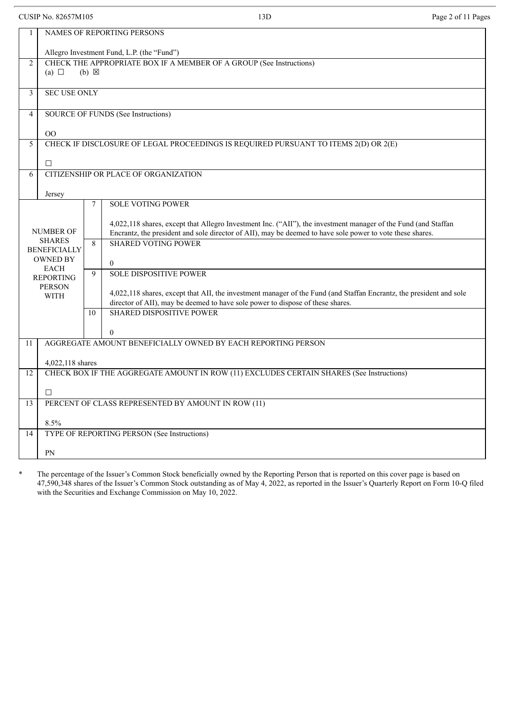CUSIP No. 82657M105 Page 2 of 11 Pages

| $\mathbf{1}$   | <b>NAMES OF REPORTING PERSONS</b>                                                   |    |                                                                                                                     |  |  |
|----------------|-------------------------------------------------------------------------------------|----|---------------------------------------------------------------------------------------------------------------------|--|--|
|                | Allegro Investment Fund, L.P. (the "Fund")                                          |    |                                                                                                                     |  |  |
| 2              | CHECK THE APPROPRIATE BOX IF A MEMBER OF A GROUP (See Instructions)                 |    |                                                                                                                     |  |  |
|                | (a) $\Box$<br>$(b) \boxtimes$                                                       |    |                                                                                                                     |  |  |
| $\mathfrak{Z}$ | <b>SEC USE ONLY</b>                                                                 |    |                                                                                                                     |  |  |
|                |                                                                                     |    |                                                                                                                     |  |  |
| $\overline{4}$ | SOURCE OF FUNDS (See Instructions)                                                  |    |                                                                                                                     |  |  |
|                | $00\,$                                                                              |    |                                                                                                                     |  |  |
| 5              | CHECK IF DISCLOSURE OF LEGAL PROCEEDINGS IS REQUIRED PURSUANT TO ITEMS 2(D) OR 2(E) |    |                                                                                                                     |  |  |
|                | $\Box$                                                                              |    |                                                                                                                     |  |  |
| 6              |                                                                                     |    | CITIZENSHIP OR PLACE OF ORGANIZATION                                                                                |  |  |
|                | Jersey                                                                              |    |                                                                                                                     |  |  |
|                |                                                                                     | 7  | <b>SOLE VOTING POWER</b>                                                                                            |  |  |
|                |                                                                                     |    | 4,022,118 shares, except that Allegro Investment Inc. ("AII"), the investment manager of the Fund (and Staffan      |  |  |
|                | <b>NUMBER OF</b>                                                                    |    | Encrantz, the president and sole director of AII), may be deemed to have sole power to vote these shares.           |  |  |
|                | <b>SHARES</b><br><b>BENEFICIALLY</b>                                                |    | <b>SHARED VOTING POWER</b>                                                                                          |  |  |
|                | <b>OWNED BY</b>                                                                     |    | $\overline{0}$                                                                                                      |  |  |
|                | <b>EACH</b><br><b>REPORTING</b>                                                     | 9  | <b>SOLE DISPOSITIVE POWER</b>                                                                                       |  |  |
|                | <b>PERSON</b>                                                                       |    | 4,022,118 shares, except that AII, the investment manager of the Fund (and Staffan Encrantz, the president and sole |  |  |
|                | <b>WITH</b>                                                                         |    | director of AII), may be deemed to have sole power to dispose of these shares.                                      |  |  |
|                |                                                                                     | 10 | <b>SHARED DISPOSITIVE POWER</b>                                                                                     |  |  |
|                |                                                                                     |    | $\mathbf{0}$                                                                                                        |  |  |
| 11             |                                                                                     |    | AGGREGATE AMOUNT BENEFICIALLY OWNED BY EACH REPORTING PERSON                                                        |  |  |
|                | 4,022,118 shares                                                                    |    |                                                                                                                     |  |  |
| 12             |                                                                                     |    | CHECK BOX IF THE AGGREGATE AMOUNT IN ROW (11) EXCLUDES CERTAIN SHARES (See Instructions)                            |  |  |
|                | $\Box$                                                                              |    |                                                                                                                     |  |  |
| 13             |                                                                                     |    | PERCENT OF CLASS REPRESENTED BY AMOUNT IN ROW (11)                                                                  |  |  |
|                |                                                                                     |    |                                                                                                                     |  |  |
| 14             | 8.5%                                                                                |    | TYPE OF REPORTING PERSON (See Instructions)                                                                         |  |  |
|                |                                                                                     |    |                                                                                                                     |  |  |
|                | PN                                                                                  |    |                                                                                                                     |  |  |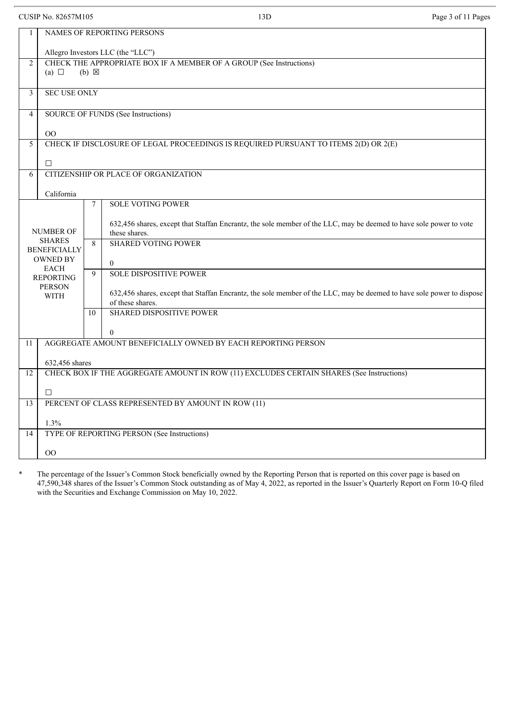CUSIP No. 82657M105 Page 3 of 11 Pages

| $\mathbf{1}$   | NAMES OF REPORTING PERSONS                                                          |                                                                                                                       |  |  |
|----------------|-------------------------------------------------------------------------------------|-----------------------------------------------------------------------------------------------------------------------|--|--|
|                | Allegro Investors LLC (the "LLC")                                                   |                                                                                                                       |  |  |
| $\overline{2}$ | CHECK THE APPROPRIATE BOX IF A MEMBER OF A GROUP (See Instructions)                 |                                                                                                                       |  |  |
|                | (a) $\Box$<br>$(b) \boxtimes$                                                       |                                                                                                                       |  |  |
| $\overline{3}$ | <b>SEC USE ONLY</b>                                                                 |                                                                                                                       |  |  |
|                |                                                                                     |                                                                                                                       |  |  |
| 4              | SOURCE OF FUNDS (See Instructions)                                                  |                                                                                                                       |  |  |
|                | O <sub>O</sub>                                                                      |                                                                                                                       |  |  |
| 5              | CHECK IF DISCLOSURE OF LEGAL PROCEEDINGS IS REQUIRED PURSUANT TO ITEMS 2(D) OR 2(E) |                                                                                                                       |  |  |
|                | $\Box$                                                                              |                                                                                                                       |  |  |
| 6              |                                                                                     | CITIZENSHIP OR PLACE OF ORGANIZATION                                                                                  |  |  |
|                | California                                                                          |                                                                                                                       |  |  |
|                |                                                                                     | <b>SOLE VOTING POWER</b><br>$\tau$                                                                                    |  |  |
|                |                                                                                     | 632,456 shares, except that Staffan Encrantz, the sole member of the LLC, may be deemed to have sole power to vote    |  |  |
|                | <b>NUMBER OF</b>                                                                    | these shares.                                                                                                         |  |  |
|                | <b>SHARES</b><br><b>BENEFICIALLY</b>                                                | <b>SHARED VOTING POWER</b><br>8                                                                                       |  |  |
|                | <b>OWNED BY</b>                                                                     | $\overline{0}$                                                                                                        |  |  |
|                | <b>EACH</b><br><b>REPORTING</b>                                                     | <b>SOLE DISPOSITIVE POWER</b><br>9                                                                                    |  |  |
|                | <b>PERSON</b>                                                                       | 632,456 shares, except that Staffan Encrantz, the sole member of the LLC, may be deemed to have sole power to dispose |  |  |
|                | <b>WITH</b>                                                                         | of these shares.                                                                                                      |  |  |
|                |                                                                                     | <b>SHARED DISPOSITIVE POWER</b><br>10                                                                                 |  |  |
|                |                                                                                     | $\theta$                                                                                                              |  |  |
| 11             |                                                                                     | AGGREGATE AMOUNT BENEFICIALLY OWNED BY EACH REPORTING PERSON                                                          |  |  |
|                | 632,456 shares                                                                      |                                                                                                                       |  |  |
| 12             |                                                                                     | CHECK BOX IF THE AGGREGATE AMOUNT IN ROW (11) EXCLUDES CERTAIN SHARES (See Instructions)                              |  |  |
|                | $\Box$                                                                              |                                                                                                                       |  |  |
| 13             |                                                                                     | PERCENT OF CLASS REPRESENTED BY AMOUNT IN ROW (11)                                                                    |  |  |
|                |                                                                                     |                                                                                                                       |  |  |
|                | 1.3%                                                                                |                                                                                                                       |  |  |
|                | TYPE OF REPORTING PERSON (See Instructions)<br>14                                   |                                                                                                                       |  |  |
|                | O <sub>O</sub>                                                                      |                                                                                                                       |  |  |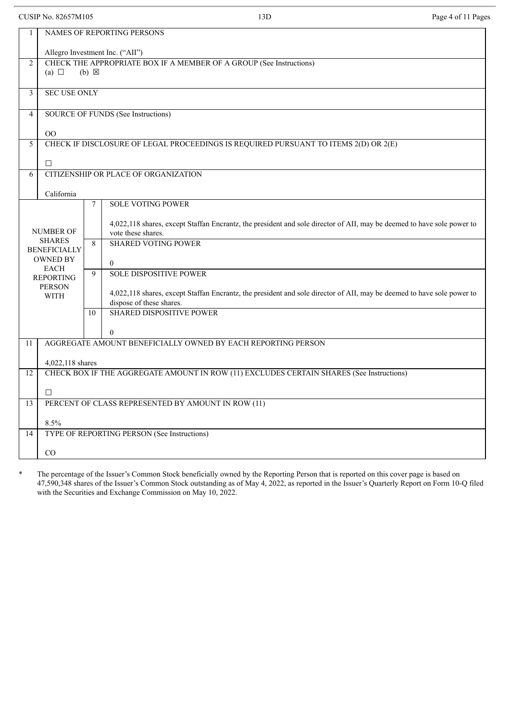CUSIP No. 82657M105 Page 4 of 11 Pages

| $\mathbf{1}$   | NAMES OF REPORTING PERSONS                                                          |                                                                                                                                              |  |  |
|----------------|-------------------------------------------------------------------------------------|----------------------------------------------------------------------------------------------------------------------------------------------|--|--|
|                | Allegro Investment Inc. ("AII")                                                     |                                                                                                                                              |  |  |
| $\overline{2}$ | CHECK THE APPROPRIATE BOX IF A MEMBER OF A GROUP (See Instructions)                 |                                                                                                                                              |  |  |
|                | (a) $\Box$                                                                          | $(b) \boxtimes$                                                                                                                              |  |  |
| 3              | <b>SEC USE ONLY</b>                                                                 |                                                                                                                                              |  |  |
|                |                                                                                     |                                                                                                                                              |  |  |
| $\overline{4}$ |                                                                                     | SOURCE OF FUNDS (See Instructions)                                                                                                           |  |  |
|                | O <sub>O</sub>                                                                      |                                                                                                                                              |  |  |
| 5              | CHECK IF DISCLOSURE OF LEGAL PROCEEDINGS IS REQUIRED PURSUANT TO ITEMS 2(D) OR 2(E) |                                                                                                                                              |  |  |
|                |                                                                                     |                                                                                                                                              |  |  |
|                | $\Box$                                                                              | CITIZENSHIP OR PLACE OF ORGANIZATION                                                                                                         |  |  |
| 6              |                                                                                     |                                                                                                                                              |  |  |
|                | California                                                                          |                                                                                                                                              |  |  |
|                |                                                                                     | <b>SOLE VOTING POWER</b><br>$\tau$                                                                                                           |  |  |
|                |                                                                                     |                                                                                                                                              |  |  |
|                | <b>NUMBER OF</b>                                                                    | 4,022,118 shares, except Staffan Encrantz, the president and sole director of AII, may be deemed to have sole power to<br>vote these shares. |  |  |
|                | <b>SHARES</b>                                                                       | <b>SHARED VOTING POWER</b><br>8                                                                                                              |  |  |
|                | <b>BENEFICIALLY</b><br><b>OWNED BY</b>                                              |                                                                                                                                              |  |  |
|                | <b>EACH</b>                                                                         | $\overline{0}$                                                                                                                               |  |  |
|                | <b>REPORTING</b>                                                                    | 9<br><b>SOLE DISPOSITIVE POWER</b>                                                                                                           |  |  |
|                | <b>PERSON</b><br><b>WITH</b>                                                        | 4,022,118 shares, except Staffan Encrantz, the president and sole director of AII, may be deemed to have sole power to                       |  |  |
|                |                                                                                     | dispose of these shares.                                                                                                                     |  |  |
|                |                                                                                     | <b>SHARED DISPOSITIVE POWER</b><br>10                                                                                                        |  |  |
|                |                                                                                     | $\mathbf{0}$                                                                                                                                 |  |  |
| 11             |                                                                                     | AGGREGATE AMOUNT BENEFICIALLY OWNED BY EACH REPORTING PERSON                                                                                 |  |  |
|                |                                                                                     |                                                                                                                                              |  |  |
|                | 4,022,118 shares                                                                    |                                                                                                                                              |  |  |
| 12             |                                                                                     | CHECK BOX IF THE AGGREGATE AMOUNT IN ROW (11) EXCLUDES CERTAIN SHARES (See Instructions)                                                     |  |  |
|                | $\Box$                                                                              |                                                                                                                                              |  |  |
| 13             |                                                                                     | PERCENT OF CLASS REPRESENTED BY AMOUNT IN ROW (11)                                                                                           |  |  |
|                | 8.5%                                                                                |                                                                                                                                              |  |  |
| 14             |                                                                                     | TYPE OF REPORTING PERSON (See Instructions)                                                                                                  |  |  |
|                |                                                                                     |                                                                                                                                              |  |  |
|                | CO                                                                                  |                                                                                                                                              |  |  |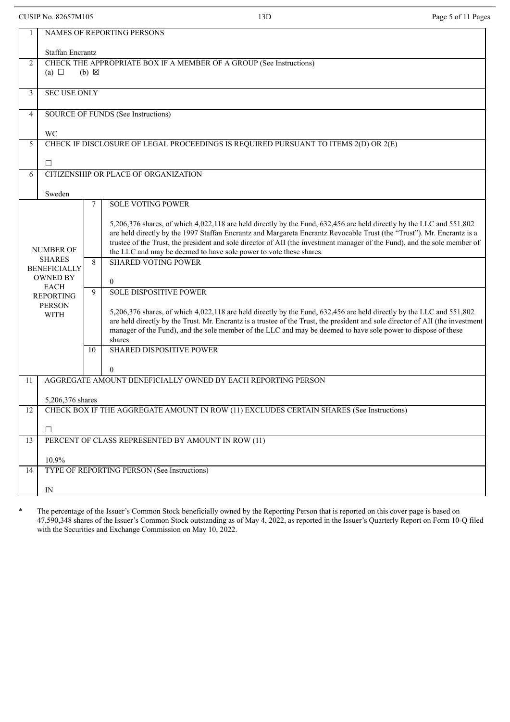CUSIP No. 82657M105 Page 5 of 11 Pages

| 1                                                               | NAMES OF REPORTING PERSONS                                                                           |                                                                                                                                                                                                                                                                                                                                                                                                                                                   |  |  |
|-----------------------------------------------------------------|------------------------------------------------------------------------------------------------------|---------------------------------------------------------------------------------------------------------------------------------------------------------------------------------------------------------------------------------------------------------------------------------------------------------------------------------------------------------------------------------------------------------------------------------------------------|--|--|
|                                                                 | <b>Staffan Encrantz</b>                                                                              |                                                                                                                                                                                                                                                                                                                                                                                                                                                   |  |  |
| 2                                                               | CHECK THE APPROPRIATE BOX IF A MEMBER OF A GROUP (See Instructions)<br>(a) $\Box$<br>$(b) \boxtimes$ |                                                                                                                                                                                                                                                                                                                                                                                                                                                   |  |  |
| $\mathfrak{Z}$                                                  | <b>SEC USE ONLY</b>                                                                                  |                                                                                                                                                                                                                                                                                                                                                                                                                                                   |  |  |
| $\overline{4}$                                                  | SOURCE OF FUNDS (See Instructions)                                                                   |                                                                                                                                                                                                                                                                                                                                                                                                                                                   |  |  |
|                                                                 | WC                                                                                                   |                                                                                                                                                                                                                                                                                                                                                                                                                                                   |  |  |
| 5                                                               | CHECK IF DISCLOSURE OF LEGAL PROCEEDINGS IS REQUIRED PURSUANT TO ITEMS 2(D) OR 2(E)                  |                                                                                                                                                                                                                                                                                                                                                                                                                                                   |  |  |
|                                                                 | $\Box$                                                                                               |                                                                                                                                                                                                                                                                                                                                                                                                                                                   |  |  |
| 6                                                               | CITIZENSHIP OR PLACE OF ORGANIZATION                                                                 |                                                                                                                                                                                                                                                                                                                                                                                                                                                   |  |  |
|                                                                 | Sweden                                                                                               |                                                                                                                                                                                                                                                                                                                                                                                                                                                   |  |  |
|                                                                 |                                                                                                      | <b>SOLE VOTING POWER</b><br>7                                                                                                                                                                                                                                                                                                                                                                                                                     |  |  |
| <b>NUMBER OF</b>                                                |                                                                                                      | 5,206,376 shares, of which 4,022,118 are held directly by the Fund, 632,456 are held directly by the LLC and 551,802<br>are held directly by the 1997 Staffan Encrantz and Margareta Encrantz Revocable Trust (the "Trust"). Mr. Encrantz is a<br>trustee of the Trust, the president and sole director of AII (the investment manager of the Fund), and the sole member of<br>the LLC and may be deemed to have sole power to vote these shares. |  |  |
|                                                                 | <b>SHARES</b><br><b>BENEFICIALLY</b>                                                                 | <b>SHARED VOTING POWER</b><br>8                                                                                                                                                                                                                                                                                                                                                                                                                   |  |  |
|                                                                 | <b>OWNED BY</b>                                                                                      | $\theta$                                                                                                                                                                                                                                                                                                                                                                                                                                          |  |  |
| <b>EACH</b><br><b>REPORTING</b><br><b>PERSON</b><br><b>WITH</b> |                                                                                                      | <b>SOLE DISPOSITIVE POWER</b><br>9                                                                                                                                                                                                                                                                                                                                                                                                                |  |  |
|                                                                 |                                                                                                      | 5,206,376 shares, of which 4,022,118 are held directly by the Fund, 632,456 are held directly by the LLC and 551,802<br>are held directly by the Trust. Mr. Encrantz is a trustee of the Trust, the president and sole director of AII (the investment<br>manager of the Fund), and the sole member of the LLC and may be deemed to have sole power to dispose of these<br>shares.                                                                |  |  |
|                                                                 |                                                                                                      | <b>SHARED DISPOSITIVE POWER</b><br>10                                                                                                                                                                                                                                                                                                                                                                                                             |  |  |
|                                                                 |                                                                                                      | $\theta$                                                                                                                                                                                                                                                                                                                                                                                                                                          |  |  |
| 11                                                              |                                                                                                      | AGGREGATE AMOUNT BENEFICIALLY OWNED BY EACH REPORTING PERSON                                                                                                                                                                                                                                                                                                                                                                                      |  |  |
|                                                                 | 5,206,376 shares                                                                                     |                                                                                                                                                                                                                                                                                                                                                                                                                                                   |  |  |
| 12                                                              |                                                                                                      |                                                                                                                                                                                                                                                                                                                                                                                                                                                   |  |  |
|                                                                 | $\Box$                                                                                               |                                                                                                                                                                                                                                                                                                                                                                                                                                                   |  |  |
| 13                                                              |                                                                                                      | PERCENT OF CLASS REPRESENTED BY AMOUNT IN ROW (11)                                                                                                                                                                                                                                                                                                                                                                                                |  |  |
|                                                                 | 10.9%                                                                                                |                                                                                                                                                                                                                                                                                                                                                                                                                                                   |  |  |
| 14                                                              |                                                                                                      | TYPE OF REPORTING PERSON (See Instructions)                                                                                                                                                                                                                                                                                                                                                                                                       |  |  |
|                                                                 | IN                                                                                                   |                                                                                                                                                                                                                                                                                                                                                                                                                                                   |  |  |
|                                                                 |                                                                                                      | CHECK BOX IF THE AGGREGATE AMOUNT IN ROW (11) EXCLUDES CERTAIN SHARES (See Instructions)                                                                                                                                                                                                                                                                                                                                                          |  |  |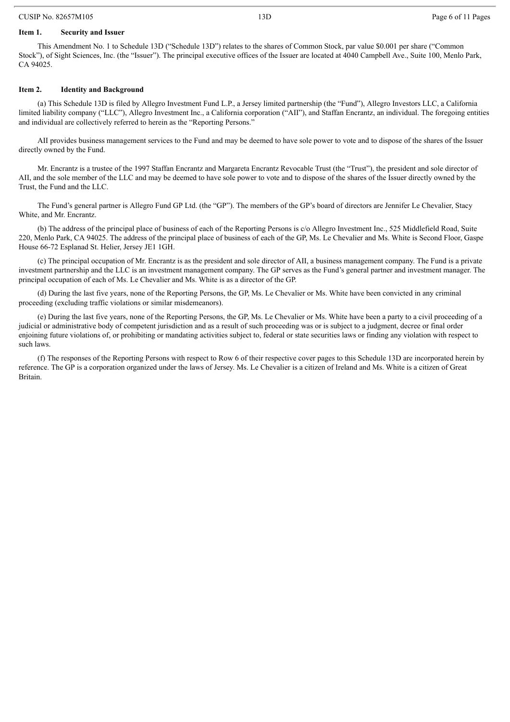### CUSIP No. 82657M105 2008 13D Page 6 of 11 Pages

#### **Item 1. Security and Issuer**

This Amendment No. 1 to Schedule 13D ("Schedule 13D") relates to the shares of Common Stock, par value \$0.001 per share ("Common Stock"), of Sight Sciences, Inc. (the "Issuer"). The principal executive offices of the Issuer are located at 4040 Campbell Ave., Suite 100, Menlo Park, CA 94025.

#### **Item 2. Identity and Background**

(a) This Schedule 13D is filed by Allegro Investment Fund L.P., a Jersey limited partnership (the "Fund"), Allegro Investors LLC, a California limited liability company ("LLC"), Allegro Investment Inc., a California corporation ("AII"), and Staffan Encrantz, an individual. The foregoing entities and individual are collectively referred to herein as the "Reporting Persons."

AII provides business management services to the Fund and may be deemed to have sole power to vote and to dispose of the shares of the Issuer directly owned by the Fund.

Mr. Encrantz is a trustee of the 1997 Staffan Encrantz and Margareta Encrantz Revocable Trust (the "Trust"), the president and sole director of AII, and the sole member of the LLC and may be deemed to have sole power to vote and to dispose of the shares of the Issuer directly owned by the Trust, the Fund and the LLC.

The Fund's general partner is Allegro Fund GP Ltd. (the "GP"). The members of the GP's board of directors are Jennifer Le Chevalier, Stacy White, and Mr. Encrantz.

(b) The address of the principal place of business of each of the Reporting Persons is c/o Allegro Investment Inc., 525 Middlefield Road, Suite 220, Menlo Park, CA 94025. The address of the principal place of business of each of the GP, Ms. Le Chevalier and Ms. White is Second Floor, Gaspe House 66-72 Esplanad St. Helier, Jersey JE1 1GH.

(c) The principal occupation of Mr. Encrantz is as the president and sole director of AII, a business management company. The Fund is a private investment partnership and the LLC is an investment management company. The GP serves as the Fund's general partner and investment manager. The principal occupation of each of Ms. Le Chevalier and Ms. White is as a director of the GP.

(d) During the last five years, none of the Reporting Persons, the GP, Ms. Le Chevalier or Ms. White have been convicted in any criminal proceeding (excluding traffic violations or similar misdemeanors).

(e) During the last five years, none of the Reporting Persons, the GP, Ms. Le Chevalier or Ms. White have been a party to a civil proceeding of a judicial or administrative body of competent jurisdiction and as a result of such proceeding was or is subject to a judgment, decree or final order enjoining future violations of, or prohibiting or mandating activities subject to, federal or state securities laws or finding any violation with respect to such laws.

(f) The responses of the Reporting Persons with respect to Row 6 of their respective cover pages to this Schedule 13D are incorporated herein by reference. The GP is a corporation organized under the laws of Jersey. Ms. Le Chevalier is a citizen of Ireland and Ms. White is a citizen of Great Britain.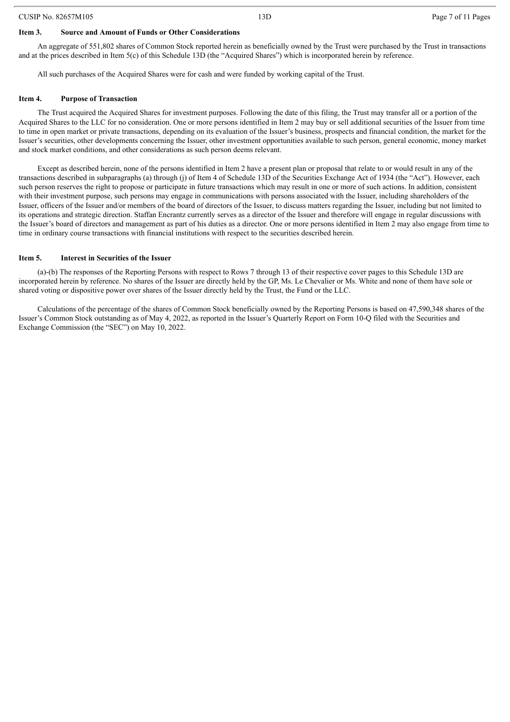#### **Item 3. Source and Amount of Funds or Other Considerations**

An aggregate of 551,802 shares of Common Stock reported herein as beneficially owned by the Trust were purchased by the Trust in transactions and at the prices described in Item 5(c) of this Schedule 13D (the "Acquired Shares") which is incorporated herein by reference.

All such purchases of the Acquired Shares were for cash and were funded by working capital of the Trust.

#### **Item 4. Purpose of Transaction**

The Trust acquired the Acquired Shares for investment purposes. Following the date of this filing, the Trust may transfer all or a portion of the Acquired Shares to the LLC for no consideration. One or more persons identified in Item 2 may buy or sell additional securities of the Issuer from time to time in open market or private transactions, depending on its evaluation of the Issuer's business, prospects and financial condition, the market for the Issuer's securities, other developments concerning the Issuer, other investment opportunities available to such person, general economic, money market and stock market conditions, and other considerations as such person deems relevant.

Except as described herein, none of the persons identified in Item 2 have a present plan or proposal that relate to or would result in any of the transactions described in subparagraphs (a) through (j) of Item 4 of Schedule 13D of the Securities Exchange Act of 1934 (the "Act"). However, each such person reserves the right to propose or participate in future transactions which may result in one or more of such actions. In addition, consistent with their investment purpose, such persons may engage in communications with persons associated with the Issuer, including shareholders of the Issuer, officers of the Issuer and/or members of the board of directors of the Issuer, to discuss matters regarding the Issuer, including but not limited to its operations and strategic direction. Staffan Encrantz currently serves as a director of the Issuer and therefore will engage in regular discussions with the Issuer's board of directors and management as part of his duties as a director. One or more persons identified in Item 2 may also engage from time to time in ordinary course transactions with financial institutions with respect to the securities described herein.

#### **Item 5. Interest in Securities of the Issuer**

(a)-(b) The responses of the Reporting Persons with respect to Rows 7 through 13 of their respective cover pages to this Schedule 13D are incorporated herein by reference. No shares of the Issuer are directly held by the GP, Ms. Le Chevalier or Ms. White and none of them have sole or shared voting or dispositive power over shares of the Issuer directly held by the Trust, the Fund or the LLC.

Calculations of the percentage of the shares of Common Stock beneficially owned by the Reporting Persons is based on 47,590,348 shares of the Issuer's Common Stock outstanding as of May 4, 2022, as reported in the Issuer's Quarterly Report on Form 10-Q filed with the Securities and Exchange Commission (the "SEC") on May 10, 2022.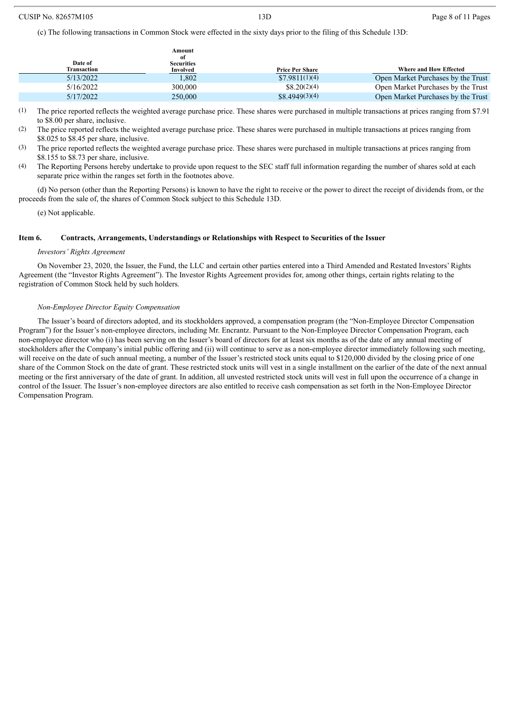(c) The following transactions in Common Stock were effected in the sixty days prior to the filing of this Schedule 13D:

|                        | Amount<br>of                  |                        |                                    |
|------------------------|-------------------------------|------------------------|------------------------------------|
| Date of<br>Transaction | <b>Securities</b><br>Involved | <b>Price Per Share</b> | Where and How Effected             |
| 5/13/2022              | 1,802                         | \$7.9811(1)(4)         | Open Market Purchases by the Trust |
| 5/16/2022              | 300,000                       | \$8.20(2)(4)           | Open Market Purchases by the Trust |
| 5/17/2022              | 250,000                       | \$8,4949(3)(4)         | Open Market Purchases by the Trust |

(1) The price reported reflects the weighted average purchase price. These shares were purchased in multiple transactions at prices ranging from \$7.91 to \$8.00 per share, inclusive.

(2) The price reported reflects the weighted average purchase price. These shares were purchased in multiple transactions at prices ranging from \$8.025 to \$8.45 per share, inclusive.

(3) The price reported reflects the weighted average purchase price. These shares were purchased in multiple transactions at prices ranging from \$8.155 to \$8.73 per share, inclusive.

(4) The Reporting Persons hereby undertake to provide upon request to the SEC staff full information regarding the number of shares sold at each separate price within the ranges set forth in the footnotes above.

(d) No person (other than the Reporting Persons) is known to have the right to receive or the power to direct the receipt of dividends from, or the proceeds from the sale of, the shares of Common Stock subject to this Schedule 13D.

(e) Not applicable.

### **Item 6. Contracts, Arrangements, Understandings or Relationships with Respect to Securities of the Issuer**

#### *Investors' Rights Agreement*

On November 23, 2020, the Issuer, the Fund, the LLC and certain other parties entered into a Third Amended and Restated Investors' Rights Agreement (the "Investor Rights Agreement"). The Investor Rights Agreement provides for, among other things, certain rights relating to the registration of Common Stock held by such holders.

#### *Non-Employee Director Equity Compensation*

The Issuer's board of directors adopted, and its stockholders approved, a compensation program (the "Non-Employee Director Compensation Program") for the Issuer's non-employee directors, including Mr. Encrantz. Pursuant to the Non-Employee Director Compensation Program, each non-employee director who (i) has been serving on the Issuer's board of directors for at least six months as of the date of any annual meeting of stockholders after the Company's initial public offering and (ii) will continue to serve as a non-employee director immediately following such meeting, will receive on the date of such annual meeting, a number of the Issuer's restricted stock units equal to \$120,000 divided by the closing price of one share of the Common Stock on the date of grant. These restricted stock units will vest in a single installment on the earlier of the date of the next annual meeting or the first anniversary of the date of grant. In addition, all unvested restricted stock units will vest in full upon the occurrence of a change in control of the Issuer. The Issuer's non-employee directors are also entitled to receive cash compensation as set forth in the Non-Employee Director Compensation Program.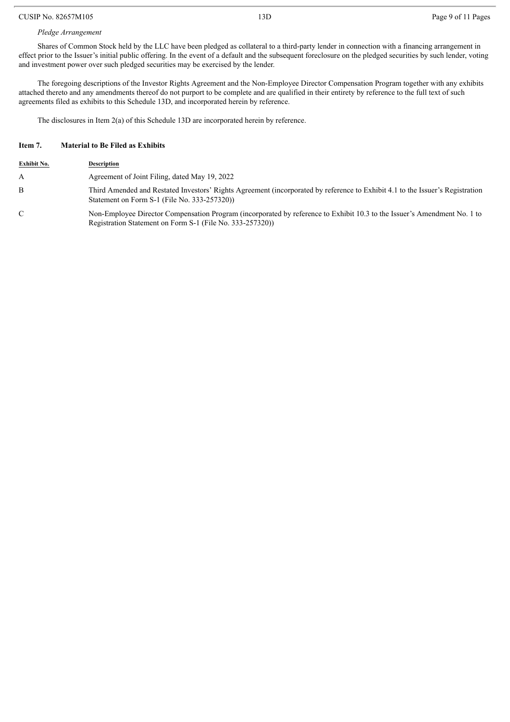#### CUSIP No. 82657M105 2008 13D Page 9 of 11 Pages

## *Pledge Arrangement*

Shares of Common Stock held by the LLC have been pledged as collateral to a third-party lender in connection with a financing arrangement in effect prior to the Issuer's initial public offering. In the event of a default and the subsequent foreclosure on the pledged securities by such lender, voting and investment power over such pledged securities may be exercised by the lender.

The foregoing descriptions of the Investor Rights Agreement and the Non-Employee Director Compensation Program together with any exhibits attached thereto and any amendments thereof do not purport to be complete and are qualified in their entirety by reference to the full text of such agreements filed as exhibits to this Schedule 13D, and incorporated herein by reference.

The disclosures in Item 2(a) of this Schedule 13D are incorporated herein by reference.

### **Item 7. Material to Be Filed as Exhibits**

| Exhibit No. | <b>Description</b>                                                                                                                                                                    |
|-------------|---------------------------------------------------------------------------------------------------------------------------------------------------------------------------------------|
| A           | Agreement of Joint Filing, dated May 19, 2022                                                                                                                                         |
| B           | Third Amended and Restated Investors' Rights Agreement (incorporated by reference to Exhibit 4.1 to the Issuer's Registration<br>Statement on Form S-1 (File No. 333-257320))         |
| C           | Non-Employee Director Compensation Program (incorporated by reference to Exhibit 10.3 to the Issuer's Amendment No. 1 to<br>Registration Statement on Form S-1 (File No. 333-257320)) |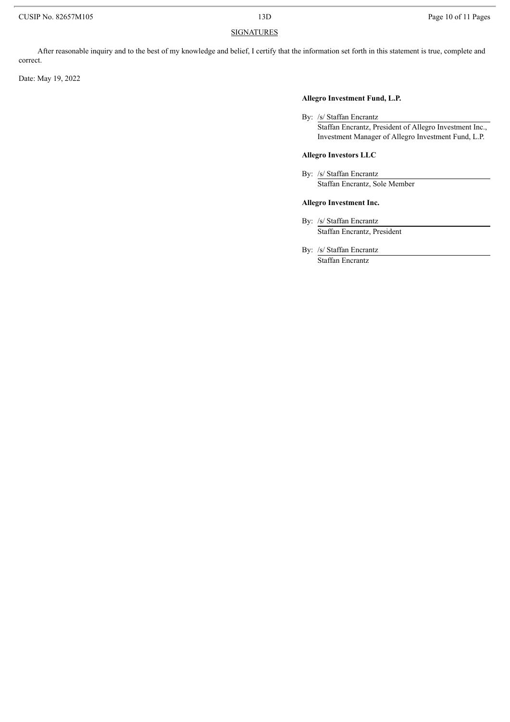# **SIGNATURES**

After reasonable inquiry and to the best of my knowledge and belief, I certify that the information set forth in this statement is true, complete and correct.

Date: May 19, 2022

# **Allegro Investment Fund, L.P.**

By: /s/ Staffan Encrantz

Staffan Encrantz, President of Allegro Investment Inc., Investment Manager of Allegro Investment Fund, L.P.

# **Allegro Investors LLC**

By: /s/ Staffan Encrantz Staffan Encrantz, Sole Member

## **Allegro Investment Inc.**

By: /s/ Staffan Encrantz Staffan Encrantz, President

By: /s/ Staffan Encrantz Staffan Encrantz